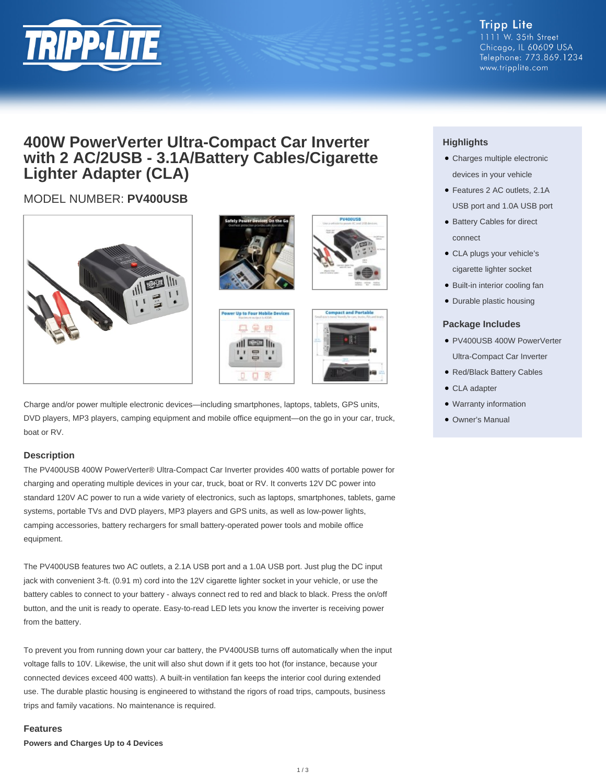

**Tripp Lite** 1111 W. 35th Street Chicago, IL 60609 USA Telephone: 773.869.1234 www.tripplite.com

### **400W PowerVerter Ultra-Compact Car Inverter with 2 AC/2USB - 3.1A/Battery Cables/Cigarette Lighter Adapter (CLA)**

### MODEL NUMBER: **PV400USB**











Charge and/or power multiple electronic devices—including smartphones, laptops, tablets, GPS units, DVD players, MP3 players, camping equipment and mobile office equipment—on the go in your car, truck, boat or RV.

#### **Description**

The PV400USB 400W PowerVerter® Ultra-Compact Car Inverter provides 400 watts of portable power for charging and operating multiple devices in your car, truck, boat or RV. It converts 12V DC power into standard 120V AC power to run a wide variety of electronics, such as laptops, smartphones, tablets, game systems, portable TVs and DVD players, MP3 players and GPS units, as well as low-power lights, camping accessories, battery rechargers for small battery-operated power tools and mobile office equipment.

The PV400USB features two AC outlets, a 2.1A USB port and a 1.0A USB port. Just plug the DC input jack with convenient 3-ft. (0.91 m) cord into the 12V cigarette lighter socket in your vehicle, or use the battery cables to connect to your battery - always connect red to red and black to black. Press the on/off button, and the unit is ready to operate. Easy-to-read LED lets you know the inverter is receiving power from the battery.

To prevent you from running down your car battery, the PV400USB turns off automatically when the input voltage falls to 10V. Likewise, the unit will also shut down if it gets too hot (for instance, because your connected devices exceed 400 watts). A built-in ventilation fan keeps the interior cool during extended use. The durable plastic housing is engineered to withstand the rigors of road trips, campouts, business trips and family vacations. No maintenance is required.

#### **Features**

**Powers and Charges Up to 4 Devices**

#### **Highlights**

- Charges multiple electronic devices in your vehicle
- Features 2 AC outlets, 2.1A USB port and 1.0A USB port
- Battery Cables for direct connect
- CLA plugs your vehicle's cigarette lighter socket
- Built-in interior cooling fan
- Durable plastic housing

#### **Package Includes**

- PV400USB 400W PowerVerter Ultra-Compact Car Inverter
- Red/Black Battery Cables
- CLA adapter
- Warranty information
- Owner's Manual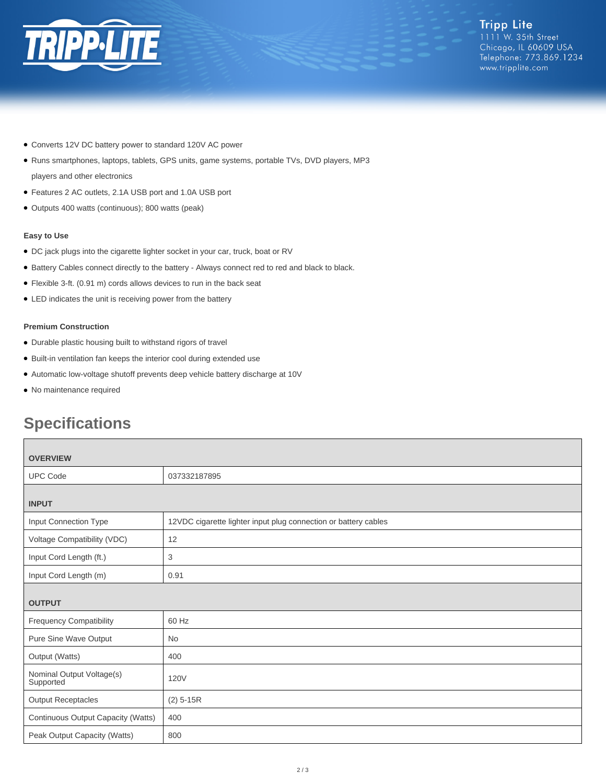

- Converts 12V DC battery power to standard 120V AC power
- Runs smartphones, laptops, tablets, GPS units, game systems, portable TVs, DVD players, MP3
- players and other electronics
- Features 2 AC outlets, 2.1A USB port and 1.0A USB port
- Outputs 400 watts (continuous); 800 watts (peak)

#### **Easy to Use**

- DC jack plugs into the cigarette lighter socket in your car, truck, boat or RV
- Battery Cables connect directly to the battery Always connect red to red and black to black.
- Flexible 3-ft. (0.91 m) cords allows devices to run in the back seat
- LED indicates the unit is receiving power from the battery

#### **Premium Construction**

- Durable plastic housing built to withstand rigors of travel
- Built-in ventilation fan keeps the interior cool during extended use
- Automatic low-voltage shutoff prevents deep vehicle battery discharge at 10V
- No maintenance required

## **Specifications**

| <b>OVERVIEW</b>                        |                                                                 |
|----------------------------------------|-----------------------------------------------------------------|
| <b>UPC Code</b>                        | 037332187895                                                    |
| <b>INPUT</b>                           |                                                                 |
| Input Connection Type                  | 12VDC cigarette lighter input plug connection or battery cables |
| Voltage Compatibility (VDC)            | 12                                                              |
| Input Cord Length (ft.)                | 3                                                               |
| Input Cord Length (m)                  | 0.91                                                            |
| <b>OUTPUT</b>                          |                                                                 |
| <b>Frequency Compatibility</b>         | 60 Hz                                                           |
| Pure Sine Wave Output                  | No                                                              |
| Output (Watts)                         | 400                                                             |
| Nominal Output Voltage(s)<br>Supported | 120V                                                            |
| <b>Output Receptacles</b>              | $(2)$ 5-15R                                                     |
| Continuous Output Capacity (Watts)     | 400                                                             |
| Peak Output Capacity (Watts)           | 800                                                             |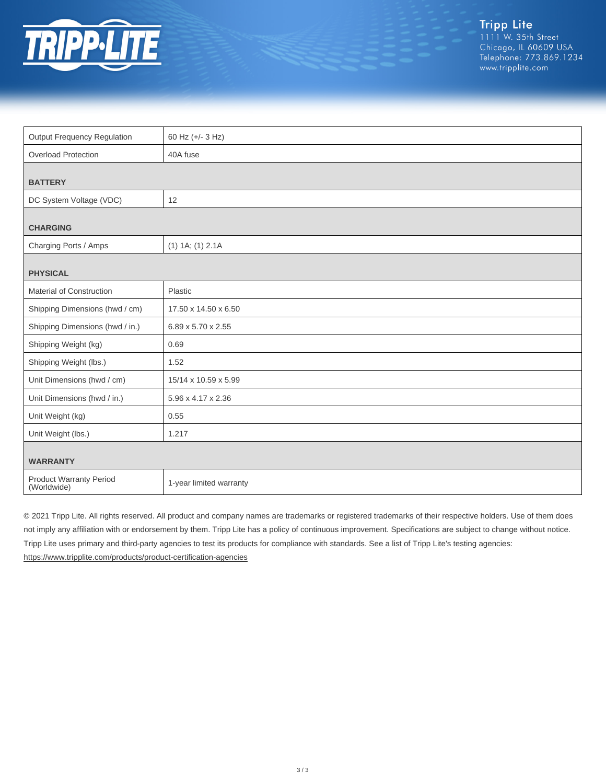

| <b>Output Frequency Regulation</b>     | 60 Hz (+/- 3 Hz)        |
|----------------------------------------|-------------------------|
| <b>Overload Protection</b>             | 40A fuse                |
|                                        |                         |
| <b>BATTERY</b>                         |                         |
| DC System Voltage (VDC)                | 12                      |
|                                        |                         |
| <b>CHARGING</b>                        |                         |
| Charging Ports / Amps                  | $(1)$ 1A; $(1)$ 2.1A    |
|                                        |                         |
| <b>PHYSICAL</b>                        |                         |
| Material of Construction               | Plastic                 |
| Shipping Dimensions (hwd / cm)         | 17.50 x 14.50 x 6.50    |
| Shipping Dimensions (hwd / in.)        | 6.89 x 5.70 x 2.55      |
| Shipping Weight (kg)                   | 0.69                    |
| Shipping Weight (lbs.)                 | 1.52                    |
| Unit Dimensions (hwd / cm)             | 15/14 x 10.59 x 5.99    |
| Unit Dimensions (hwd / in.)            | 5.96 x 4.17 x 2.36      |
| Unit Weight (kg)                       | 0.55                    |
| Unit Weight (lbs.)                     | 1.217                   |
|                                        |                         |
| <b>WARRANTY</b>                        |                         |
| Product Warranty Period<br>(Worldwide) | 1-year limited warranty |

© 2021 Tripp Lite. All rights reserved. All product and company names are trademarks or registered trademarks of their respective holders. Use of them does not imply any affiliation with or endorsement by them. Tripp Lite has a policy of continuous improvement. Specifications are subject to change without notice. Tripp Lite uses primary and third-party agencies to test its products for compliance with standards. See a list of Tripp Lite's testing agencies: <https://www.tripplite.com/products/product-certification-agencies>